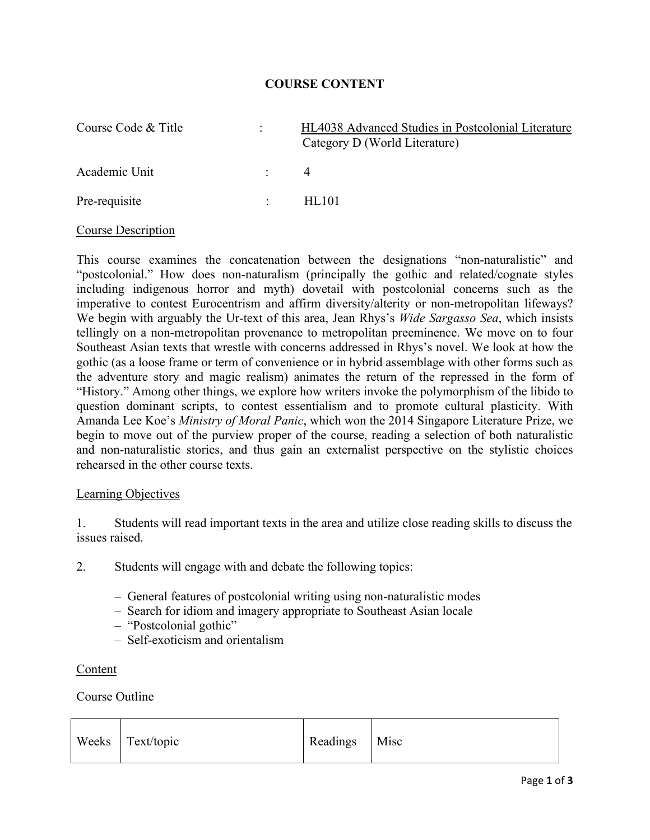## **COURSE CONTENT**

| Course Code & Title | $\mathbb{R}^{\mathbb{Z}}$ | HL4038 Advanced Studies in Postcolonial Literature<br>Category D (World Literature) |
|---------------------|---------------------------|-------------------------------------------------------------------------------------|
| Academic Unit       | $\mathcal{L}$             |                                                                                     |
| Pre-requisite       |                           | HL101                                                                               |

### Course Description

This course examines the concatenation between the designations "non-naturalistic" and "postcolonial." How does non-naturalism (principally the gothic and related/cognate styles including indigenous horror and myth) dovetail with postcolonial concerns such as the imperative to contest Eurocentrism and affirm diversity/alterity or non-metropolitan lifeways? We begin with arguably the Ur-text of this area, Jean Rhys's *Wide Sargasso Sea*, which insists tellingly on a non-metropolitan provenance to metropolitan preeminence. We move on to four Southeast Asian texts that wrestle with concerns addressed in Rhys's novel. We look at how the gothic (as a loose frame or term of convenience or in hybrid assemblage with other forms such as the adventure story and magic realism) animates the return of the repressed in the form of "History." Among other things, we explore how writers invoke the polymorphism of the libido to question dominant scripts, to contest essentialism and to promote cultural plasticity. With Amanda Lee Koe's *Ministry of Moral Panic*, which won the 2014 Singapore Literature Prize, we begin to move out of the purview proper of the course, reading a selection of both naturalistic and non-naturalistic stories, and thus gain an externalist perspective on the stylistic choices rehearsed in the other course texts.

#### Learning Objectives

1. Students will read important texts in the area and utilize close reading skills to discuss the issues raised.

- 2. Students will engage with and debate the following topics:
	- General features of postcolonial writing using non-naturalistic modes
	- Search for idiom and imagery appropriate to Southeast Asian locale
	- "Postcolonial gothic"
	- Self-exoticism and orientalism

#### Content

Course Outline

|  | Weeks Text/topic | Readings   Misc |  |
|--|------------------|-----------------|--|
|--|------------------|-----------------|--|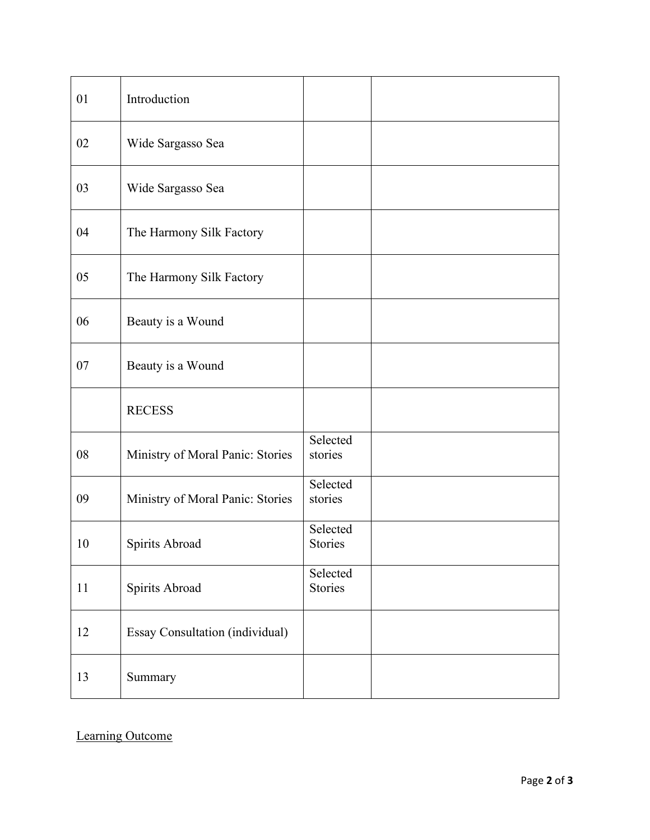| 01 | Introduction                     |                            |  |
|----|----------------------------------|----------------------------|--|
| 02 | Wide Sargasso Sea                |                            |  |
| 03 | Wide Sargasso Sea                |                            |  |
| 04 | The Harmony Silk Factory         |                            |  |
| 05 | The Harmony Silk Factory         |                            |  |
| 06 | Beauty is a Wound                |                            |  |
| 07 | Beauty is a Wound                |                            |  |
|    | <b>RECESS</b>                    |                            |  |
| 08 | Ministry of Moral Panic: Stories | Selected<br>stories        |  |
| 09 | Ministry of Moral Panic: Stories | Selected<br>stories        |  |
| 10 | Spirits Abroad                   | Selected<br><b>Stories</b> |  |
| 11 | Spirits Abroad                   | Selected<br><b>Stories</b> |  |
| 12 | Essay Consultation (individual)  |                            |  |
| 13 | Summary                          |                            |  |

Learning Outcome